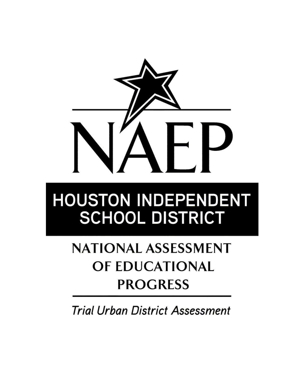

# **HOUSTON INDEPENDENT SCHOOL DISTRICT**

# **NATIONAL ASSESSMENT** OF EDUCATIONAL **PROGRESS**

**Trial Urban District Assessment**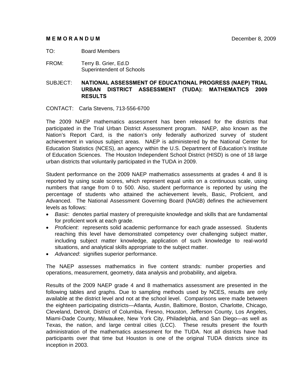#### **MEMORANDUM** December 8, 2009

- TO: Board Members
- FROM: Terry B. Grier, Ed.D Superintendent of Schools

SUBJECT: **NATIONAL ASSESSMENT OF EDUCATIONAL PROGRESS (NAEP) TRIAL URBAN DISTRICT ASSESSMENT (TUDA): MATHEMATICS 2009 RESULTS** 

CONTACT: Carla Stevens, 713-556-6700

The 2009 NAEP mathematics assessment has been released for the districts that participated in the Trial Urban District Assessment program. NAEP, also known as the Nation's Report Card, is the nation's only federally authorized survey of student achievement in various subject areas. NAEP is administered by the National Center for Education Statistics (NCES), an agency within the U.S. Department of Education's Institute of Education Sciences. The Houston Independent School District (HISD) is one of 18 large urban districts that voluntarily participated in the TUDA in 2009.

Student performance on the 2009 NAEP mathematics assessments at grades 4 and 8 is reported by using scale scores, which represent equal units on a continuous scale, using numbers that range from 0 to 500. Also, student performance is reported by using the percentage of students who attained the achievement levels, Basic, Proficient, and Advanced. The National Assessment Governing Board (NAGB) defines the achievement levels as follows:

- *Basic*: denotes partial mastery of prerequisite knowledge and skills that are fundamental for proficient work at each grade.
- *Proficient*: represents solid academic performance for each grade assessed. Students reaching this level have demonstrated competency over challenging subject matter, including subject matter knowledge, application of such knowledge to real-world situations, and analytical skills appropriate to the subject matter.
- *Advanced*: signifies superior performance.

The NAEP assesses mathematics in five content strands: number properties and operations, measurement, geometry, data analysis and probability, and algebra.

Results of the 2009 NAEP grade 4 and 8 mathematics assessment are presented in the following tables and graphs. Due to sampling methods used by NCES, results are only available at the district level and not at the school level. Comparisons were made between the eighteen participating districts—Atlanta, Austin, Baltimore, Boston, Charlotte, Chicago, Cleveland, Detroit, District of Columbia, Fresno, Houston, Jefferson County, Los Angeles, Miami-Dade County, Milwaukee, New York City, Philadelphia, and San Diego—as well as Texas, the nation, and large central cities (LCC). These results present the fourth administration of the mathematics assessment for the TUDA. Not all districts have had participants over that time but Houston is one of the original TUDA districts since its inception in 2003.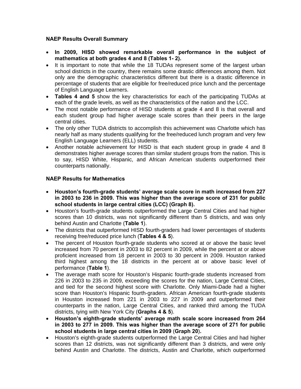#### **NAEP Results Overall Summary**

- **In 2009, HISD showed remarkable overall performance in the subject of mathematics at both grades 4 and 8 (Tables 1- 2).**
- It is important to note that while the 18 TUDAs represent some of the largest urban school districts in the country, there remains some drastic differences among them. Not only are the demographic characteristics different but there is a drastic difference in percentage of students that are eligible for free/reduced price lunch and the percentage of English Language Learners.
- **Tables 4 and 5** show the key characteristics for each of the participating TUDAs at each of the grade levels, as well as the characteristics of the nation and the LCC.
- The most notable performance of HISD students at grade 4 and 8 is that overall and each student group had higher average scale scores than their peers in the large central cities.
- The only other TUDA districts to accomplish this achievement was Charlotte which has nearly half as many students qualifying for the free/reduced lunch program and very few English Language Learners (ELL) students.
- Another notable achievement for HISD is that each student group in grade 4 and 8 demonstrates higher average scores than similar student groups from the nation. This is to say, HISD White, Hispanic, and African American students outperformed their counterparts nationally.

#### **NAEP Results for Mathematics**

- **Houston's fourth-grade students' average scale score in math increased from 227 in 2003 to 236 in 2009. This was higher than the average score of 231 for public school students in large central cities (LCC) (Graph 8).**
- Houston's fourth-grade students outperformed the Large Central Cities and had higher scores than 10 districts, was not significantly different than 5 districts, and was only behind Austin and Charlotte (**Table 1**).
- The districts that outperformed HISD fourth-graders had lower percentages of students receiving free/reduced price lunch (**Tables 4 & 5**).
- The percent of Houston fourth-grade students who scored at or above the basic level increased from 70 percent in 2003 to 82 percent in 2009, while the percent at or above proficient increased from 18 percent in 2003 to 30 percent in 2009. Houston ranked third highest among the 18 districts in the percent at or above basic level of performance (**Table 1**).
- The average math score for Houston's Hispanic fourth-grade students increased from 226 in 2003 to 235 in 2009, exceeding the scores for the nation, Large Central Cities, and tied for the second highest score with Charlotte. Only Miami-Dade had a higher score than Houston's Hispanic fourth-graders. African American fourth-grade students in Houston increased from 221 in 2003 to 227 in 2009 and outperformed their counterparts in the nation, Large Central Cities, and ranked third among the TUDA districts, tying with New York City (**Graphs 4 & 5**).
- **Houston's eighth-grade students' average math scale score increased from 264 in 2003 to 277 in 2009. This was higher than the average score of 271 for public school students in large central cities in 2009** (**Graph 20**)**.**
- Houston's eighth-grade students outperformed the Large Central Cities and had higher scores than 12 districts, was not significantly different than 3 districts, and were only behind Austin and Charlotte. The districts, Austin and Charlotte, which outperformed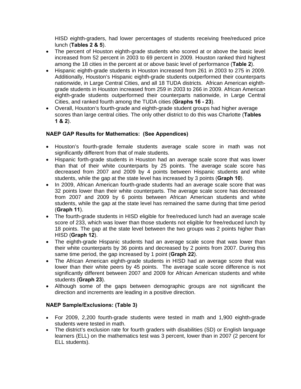HISD eighth-graders, had lower percentages of students receiving free/reduced price lunch (**Tables 2 & 5**).

- The percent of Houston eighth-grade students who scored at or above the basic level increased from 52 percent in 2003 to 69 percent in 2009. Houston ranked third highest among the 18 cities in the percent at or above basic level of performance (**Table 2**).
- Hispanic eighth-grade students in Houston increased from 261 in 2003 to 275 in 2009. Additionally, Houston's Hispanic eighth-grade students outperformed their counterparts nationwide, in Large Central Cities, and all 18 TUDA districts. African American eighthgrade students in Houston increased from 259 in 2003 to 266 in 2009. African American eighth-grade students outperformed their counterparts nationwide, in Large Central Cities, and ranked fourth among the TUDA cities (**Graphs 16 - 23**).
- Overall, Houston's fourth-grade and eighth-grade student groups had higher average scores than large central cities. The only other district to do this was Charlotte (**Tables 1 & 2**).

#### **NAEP GAP Results for Mathematics: (See Appendices)**

- Houston's fourth-grade female students average scale score in math was not significantly different from that of male students.
- Hispanic forth-grade students in Houston had an average scale score that was lower than that of their white counterparts by 25 points. The average scale score has decreased from 2007 and 2009 by 4 points between Hispanic students and white students, while the gap at the state level has increased by 3 points (**Graph 10**).
- In 2009, African American fourth-grade students had an average scale score that was 32 points lower than their white counterparts. The average scale score has decreased from 2007 and 2009 by 6 points between African American students and white students, while the gap at the state level has remained the same during that time period (**Graph 11**).
- The fourth-grade students in HISD eligible for free/reduced lunch had an average scale score of 233, which was lower than those students not eligible for free/reduced lunch by 18 points. The gap at the state level between the two groups was 2 points higher than HISD (**Graph 12**).
- The eighth-grade Hispanic students had an average scale score that was lower than their white counterparts by 36 points and decreased by 2 points from 2007. During this same time period, the gap increased by 1 point (**Graph 22**).
- The African American eighth-grade students in HISD had an average score that was lower than their white peers by 45 points. The average scale score difference is not significantly different between 2007 and 2009 for African American students and white students (**Graph 23**).
- Although some of the gaps between demographic groups are not significant the direction and increments are leading in a positive direction.

#### **NAEP Sample/Exclusions: (Table 3)**

- For 2009, 2,200 fourth-grade students were tested in math and 1,900 eighth-grade students were tested in math.
- The district's exclusion rate for fourth graders with disabilities (SD) or English language learners (ELL) on the mathematics test was 3 percent, lower than in 2007 (2 percent for ELL students).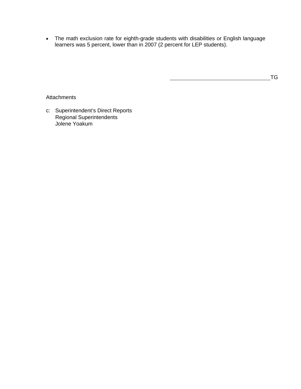• The math exclusion rate for eighth-grade students with disabilities or English language learners was 5 percent, lower than in 2007 (2 percent for LEP students).

<u>the contract of the contract of the contract of the contract of the contract of the contract of the contract of the contract of the contract of the contract of the contract of the contract of the contract of the contract </u>

#### **Attachments**

c: Superintendent's Direct Reports Regional Superintendents Jolene Yoakum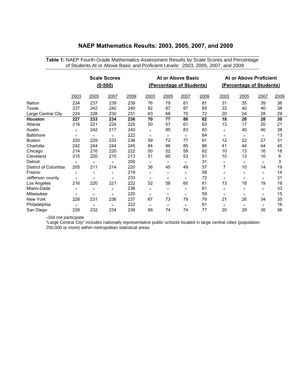#### **Scale Scores (0-500) At or Above Basic (Percentage of Students) At or Above Proficient (Percentage of Students)** 2003 2005 2007 2009 2003 2005 2007 2009 2003 2005 2007 2009 Nation 234 237 239 239 76 79 81 81 31 35 39 38 Texas 237 242 242 240 82 87 87 85 33 40 40 38 Large Central City 224 228 230 231 63 68 70 72 20 24 28 29 **Houston 227 233 234 236 70 77 80 82 18 26 28 30**  Atlanta 216 221 224 225 50 57 61 63 13 17 20 21 Austin + 242 217 240 + 85 83 83 + 40 40 38 Baltimore + + + 222 + + + 64 + + + 13 Boston 220 229 233 236 59 72 77 81 12 22 27 31 Charlotte 242 244 244 245 84 86 85 86 41 44 44 45 Chicago 214 216 220 222 50 52 58 62 10 13 16 18 Cleveland 215 220 215 213 51 60 53 51 10 13 10 8 Detroit + + + 200 + + + 31 + + + 3 District of Columbia 205 211 214 220 36 45 49 57 7 10 14 19 Fresno + + + 219 + + + 58 + + + 14 Jefferson county  $+$   $+$   $+$  233  $+$   $+$   $+$  72  $+$   $+$   $+$  31 Los Angeles 216 220 221 222 52 58 60 61 13 18 19 19 Miami-Dade + + + 236 + + + 81 + + + 33 Milwaukee + + + 220 + + + 59 + + + 15 New York 226 231 236 237 67 73 79 79 21 26 34 35 Philadelphia + + + 222 + + + 61 + + + 16 San Diego 226 232 234 236 66 74 74 77 20 29 35 36

#### **NAEP Mathematics Results: 2003, 2005, 2007, and 2009**

**Table 1:** NAEP Fourth-Grade Mathematics Assessment Results by Scale Scores and Percentage of Students At or Above Basic and Proficient Levels: 2003, 2005, 2007, and 2009

+Did not participate

"Large Central City" includes nationally representative public schools located in large central cities (population 250,000 or more) within metropolitan statistical areas.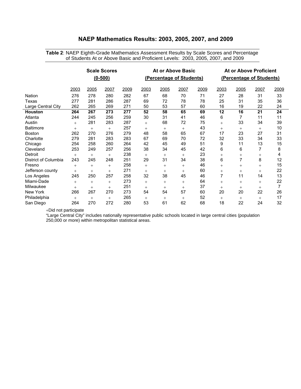#### **NAEP Mathematics Results: 2003, 2005, 2007, and 2009**

**Table 2**: NAEP Eighth-Grade Mathematics Assessment Results by Scale Scores and Percentage of Students At or Above Basic and Proficient Levels: 2003, 2005, 2007, and 2009

|                      | <b>Scale Scores</b><br>$(0 - 500)$ |              |        | At or Above Basic<br>(Percentage of Students) |        |        |      | <b>At or Above Proficient</b><br>(Percentage of Students) |        |                |                |      |
|----------------------|------------------------------------|--------------|--------|-----------------------------------------------|--------|--------|------|-----------------------------------------------------------|--------|----------------|----------------|------|
|                      | 2003                               | <u> 2005</u> | 2007   | 2009                                          | 2003   | 2005   | 2007 | 2009                                                      | 2003   | 2005           | 2007           | 2009 |
| Nation               | 276                                | 278          | 280    | 282                                           | 67     | 68     | 70   | 71                                                        | 27     | 28             | 31             | 33   |
| Texas                | 277                                | 281          | 286    | 287                                           | 69     | 72     | 78   | 78                                                        | 25     | 31             | 35             | 36   |
| Large Central City   | 262                                | 265          | 269    | 271                                           | 50     | 53     | 57   | 60                                                        | 16     | 19             | 22             | 24   |
| <b>Houston</b>       | 264                                | 267          | 273    | 277                                           | 52     | 58     | 65   | 69                                                        | 12     | 16             | 21             | 24   |
| Atlanta              | 244                                | 245          | 256    | 259                                           | 30     | 31     | 41   | 46                                                        | 6      | 7              | 11             | 11   |
| Austin               | $^{+}$                             | 281          | 283    | 287                                           | $^{+}$ | 68     | 72   | 75                                                        | $^{+}$ | 33             | 34             | 39   |
| <b>Baltimore</b>     | $^{+}$                             | $+$          | $^{+}$ | 257                                           | $^{+}$ | $^{+}$ | $+$  | 43                                                        | $^{+}$ | $+$            | $+$            | 10   |
| <b>Boston</b>        | 262                                | 270          | 276    | 279                                           | 48     | 58     | 65   | 67                                                        | 17     | 23             | 27             | 31   |
| Charlotte            | 279                                | 281          | 283    | 283                                           | 67     | 69     | 70   | 72                                                        | 32     | 33             | 34             | 33   |
| Chicago              | 254                                | 258          | 260    | 264                                           | 42     | 45     | 49   | 51                                                        | 9      | 11             | 13             | 15   |
| Cleveland            | 253                                | 249          | 257    | 256                                           | 38     | 34     | 45   | 42                                                        | 6      | 6              | 7              | 8    |
| Detroit              | $^{+}$                             | $^{+}$       | $^{+}$ | 238                                           | $^{+}$ | $^{+}$ | $+$  | 23                                                        | $^{+}$ | $^{+}$         | $\overline{+}$ | 4    |
| District of Columbia | 243                                | 245          | 248    | 251                                           | 29     | 31     | 34   | 38                                                        | 6      | $\overline{7}$ | 8              | 12   |
| Fresno               | $^{+}$                             | $^{+}$       | $+$    | 258                                           | $^{+}$ | $^{+}$ | $+$  | 46                                                        | $^{+}$ | $+$            | $+$            | 15   |
| Jefferson county     | $^{+}$                             | $+$          | $+$    | 271                                           | $^{+}$ | $+$    | $+$  | 60                                                        | $^{+}$ | $+$            | $^{+}$         | 22   |
| Los Angeles          | 245                                | 250          | 257    | 258                                           | 32     | 38     | 45   | 46                                                        | 7      | 11             | 14             | 13   |
| Miami-Dade           | $^{+}$                             | $^{+}$       | $^{+}$ | 273                                           | $^{+}$ | $^{+}$ | $+$  | 64                                                        | $^{+}$ | $+$            | $+$            | 22   |
| Milwaukee            | $^{+}$                             | $^{+}$       | $^{+}$ | 251                                           | $^{+}$ | $^{+}$ | $+$  | 37                                                        | $+$    | $^{+}$         | $+$            | 7    |
| New York             | 266                                | 267          | 270    | 273                                           | 54     | 54     | 57   | 60                                                        | 20     | 20             | 22             | 26   |
| Philadelphia         | $^{+}$                             | $+$          | $+$    | 265                                           | $^{+}$ | $^{+}$ | $+$  | 52                                                        | $^{+}$ | $+$            | $+$            | 17   |
| San Diego            | 264                                | 270          | 272    | 280                                           | 53     | 61     | 62   | 68                                                        | 18     | 22             | 24             | 32   |

+Did not participate

"Large Central City" includes nationally representative public schools located in large central cities (population 250,000 or more) within metropolitan statistical areas.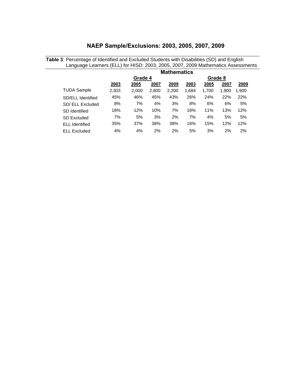| Language Learners (ELL) for HISD: 2003, 2005, 2007, 2009 Mathematics Assessments |                       |         |       |       |       |         |       |       |       |  |  |
|----------------------------------------------------------------------------------|-----------------------|---------|-------|-------|-------|---------|-------|-------|-------|--|--|
|                                                                                  | <b>Mathematics</b>    |         |       |       |       |         |       |       |       |  |  |
|                                                                                  |                       | Grade 4 |       |       |       | Grade 8 |       |       |       |  |  |
|                                                                                  |                       | 2003    | 2005  | 2007  | 2009  | 2003    | 2005  | 2007  | 2009  |  |  |
|                                                                                  | TUDA Sample           | 2,303   | 2,000 | 2,800 | 2,200 | 1,684   | 1,700 | 1,900 | 1,900 |  |  |
|                                                                                  | SD/ELL Identified     | 45%     | 46%   | 45%   | 43%   | 26%     | 24%   | 22%   | 22%   |  |  |
|                                                                                  | SD/ ELL Excluded      | 8%      | 7%    | 4%    | 3%    | 8%      | 6%    | 6%    | 5%    |  |  |
|                                                                                  | SD Identified         | 18%     | 12%   | 10%   | 7%    | 16%     | 11%   | 13%   | 12%   |  |  |
|                                                                                  | SD Excluded           | 7%      | 5%    | 3%    | 2%    | 7%      | 4%    | 5%    | 5%    |  |  |
|                                                                                  | <b>ELL</b> Identified | 35%     | 37%   | 38%   | 38%   | 16%     | 15%   | 12%   | 12%   |  |  |
|                                                                                  | <b>ELL Excluded</b>   | 4%      | 4%    | 2%    | 2%    | 5%      | 3%    | 2%    | 2%    |  |  |

### **NAEP Sample/Exclusions: 2003, 2005, 2007, 2009**

**Table 3**: Percentage of Identified and Excluded Students with Disabilities (SD) and English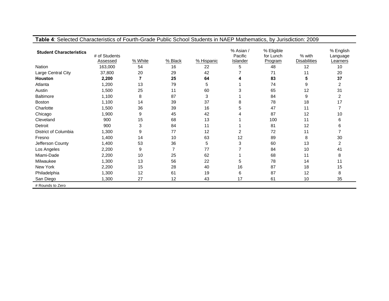| Table 4: Selected Characteristics of Fourth-Grade Public School Students in NAEP Mathematics, by Jurisdiction: 2009 |                           |         |                |            |                                  |                                    |                                 |                                   |  |  |
|---------------------------------------------------------------------------------------------------------------------|---------------------------|---------|----------------|------------|----------------------------------|------------------------------------|---------------------------------|-----------------------------------|--|--|
| <b>Student Characteristics</b>                                                                                      | # of Students<br>Assessed | % White | % Black        | % Hispanic | % Asian /<br>Pacific<br>Islander | % Eligible<br>for Lunch<br>Program | $%$ with<br><b>Disabilities</b> | % English<br>Language<br>Learners |  |  |
| <b>Nation</b>                                                                                                       | 163,000                   | 54      | 16             | 22         | 5                                | 48                                 | 12                              | 10                                |  |  |
| Large Central City                                                                                                  | 37,800                    | 20      | 29             | 42         |                                  | 71                                 | 11                              | 20                                |  |  |
| <b>Houston</b>                                                                                                      | 2,200                     |         | 25             | 64         | 4                                | 83                                 | 5                               | 37                                |  |  |
| Atlanta                                                                                                             | 1,200                     | 13      | 79             | 5          |                                  | 74                                 | 9                               | $\overline{2}$                    |  |  |
| Austin                                                                                                              | 1,500                     | 25      | 11             | 60         | 3                                | 65                                 | 12                              | 31                                |  |  |
| <b>Baltimore</b>                                                                                                    | 1,100                     | 8       | 87             | 3          |                                  | 84                                 | 9                               | 2                                 |  |  |
| <b>Boston</b>                                                                                                       | 1,100                     | 14      | 39             | 37         | 8                                | 78                                 | 18                              | 17                                |  |  |
| Charlotte                                                                                                           | 1,500                     | 36      | 39             | 16         | 5                                | 47                                 | 11                              |                                   |  |  |
| Chicago                                                                                                             | 1,900                     | 9       | 45             | 42         | 4                                | 87                                 | 12                              | 10                                |  |  |
| Cleveland                                                                                                           | 900                       | 15      | 68             | 13         |                                  | 100                                | 11                              | 6                                 |  |  |
| Detroit                                                                                                             | 900                       | 3       | 84             | 11         |                                  | 81                                 | 12                              | 6                                 |  |  |
| District of Columbia                                                                                                | 1,300                     | 9       | 77             | 12         | 2                                | 72                                 | 11                              |                                   |  |  |
| Fresno                                                                                                              | 1,400                     | 14      | 10             | 63         | 12                               | 89                                 | 8                               | 30                                |  |  |
| Jefferson County                                                                                                    | 1,400                     | 53      | 36             | 5          | 3                                | 60                                 | 13                              | 2                                 |  |  |
| Los Angeles                                                                                                         | 2,200                     | 9       | $\overline{7}$ | 77         |                                  | 84                                 | 10                              | 41                                |  |  |
| Miami-Dade                                                                                                          | 2,200                     | 10      | 25             | 62         |                                  | 68                                 | 11                              | 8                                 |  |  |
| Milwaukee                                                                                                           | 1,300                     | 13      | 56             | 22         | 5                                | 78                                 | 14                              | 11                                |  |  |
| New York                                                                                                            | 2,200                     | 15      | 28             | 40         | 16                               | 87                                 | 18                              | 15                                |  |  |
| Philadelphia                                                                                                        | 1,300                     | 12      | 61             | 19         | 6                                | 87                                 | 12                              | 8                                 |  |  |
| San Diego                                                                                                           | 1,300                     | 27      | 12             | 43         | 17                               | 61                                 | 10                              | 35                                |  |  |
| # Rounds to Zero                                                                                                    |                           |         |                |            |                                  |                                    |                                 |                                   |  |  |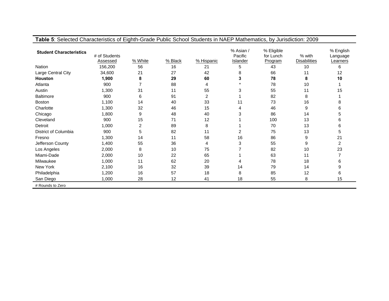| Table 5: Selected Characteristics of Eighth-Grade Public School Students in NAEP Mathematics, by Jurisdiction: 2009 |                           |                |         |                |                                  |                                    |                               |                                   |  |  |
|---------------------------------------------------------------------------------------------------------------------|---------------------------|----------------|---------|----------------|----------------------------------|------------------------------------|-------------------------------|-----------------------------------|--|--|
| <b>Student Characteristics</b>                                                                                      | # of Students<br>Assessed | % White        | % Black | % Hispanic     | % Asian /<br>Pacific<br>Islander | % Eligible<br>for Lunch<br>Program | % with<br><b>Disabilities</b> | % English<br>Language<br>Learners |  |  |
| <b>Nation</b>                                                                                                       | 156,200                   | 56             | 16      | 21             | 5                                | 43                                 | 10                            | 6                                 |  |  |
| Large Central City                                                                                                  | 34,600                    | 21             | 27      | 42             | 8                                | 66                                 | 11                            | 12                                |  |  |
| <b>Houston</b>                                                                                                      | 1,900                     | 8              | 29      | 60             | 3                                | 78                                 | 8                             | 10                                |  |  |
| Atlanta                                                                                                             | 900                       |                | 88      | 4              |                                  | 78                                 | 10                            |                                   |  |  |
| Austin                                                                                                              | 1,300                     | 31             | 11      | 55             | 3                                | 55                                 | 11                            | 15                                |  |  |
| <b>Baltimore</b>                                                                                                    | 900                       | 6              | 91      | $\overline{c}$ |                                  | 82                                 | 8                             |                                   |  |  |
| <b>Boston</b>                                                                                                       | 1,100                     | 14             | 40      | 33             | 11                               | 73                                 | 16                            | 8                                 |  |  |
| Charlotte                                                                                                           | 1,300                     | 32             | 46      | 15             | 4                                | 46                                 | 9                             | 6                                 |  |  |
| Chicago                                                                                                             | 1,800                     | 9              | 48      | 40             | 3                                | 86                                 | 14                            | 5                                 |  |  |
| Cleveland                                                                                                           | 900                       | 15             | 71      | 12             |                                  | 100                                | 13                            | 6                                 |  |  |
| Detroit                                                                                                             | 1,000                     | $\overline{2}$ | 89      | 8              |                                  | 70                                 | 13                            | 6                                 |  |  |
| District of Columbia                                                                                                | 900                       | 5              | 82      | 11             | 2                                | 75                                 | 13                            | 5                                 |  |  |
| Fresno                                                                                                              | 1,300                     | 14             | 11      | 58             | 16                               | 86                                 | 9                             | 21                                |  |  |
| Jefferson County                                                                                                    | 1,400                     | 55             | 36      | 4              | 3                                | 55                                 | 9                             | 2                                 |  |  |
| Los Angeles                                                                                                         | 2,000                     | 8              | 10      | 75             |                                  | 82                                 | 10                            | 23                                |  |  |
| Miami-Dade                                                                                                          | 2,000                     | 10             | 22      | 65             |                                  | 63                                 | 11                            |                                   |  |  |
| Milwaukee                                                                                                           | 1,000                     | 11             | 62      | 20             | 4                                | 78                                 | 18                            | 6                                 |  |  |
| New York                                                                                                            | 2,100                     | 16             | 32      | 39             | 14                               | 79                                 | 14                            | 9                                 |  |  |
| Philadelphia                                                                                                        | 1,200                     | 16             | 57      | 18             | 8                                | 85                                 | 12                            | 6                                 |  |  |
| San Diego                                                                                                           | 1,000                     | 28             | 12      | 41             | 18                               | 55                                 | 8                             | 15                                |  |  |
| # Rounds to Zero                                                                                                    |                           |                |         |                |                                  |                                    |                               |                                   |  |  |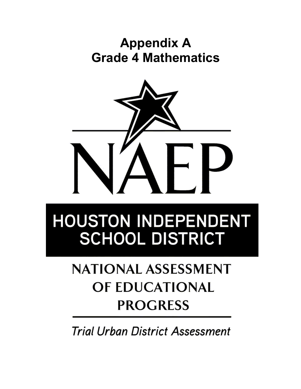### **Appendix A Grade 4 Mathematics**



# **HOUSTON INDEPENDENT SCHOOL DISTRICT**

## **NATIONAL ASSESSMENT** OF EDUCATIONAL **PROGRESS**

**Trial Urban District Assessment**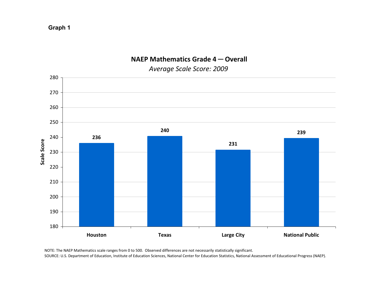



NOTE: The NAEP Mathematics scale ranges from 0 to 500. Observed differences are not necessarily statistically significant. SOURCE: U.S. Department of Education, Institute of Education Sciences, National Center for Education Statistics, National Assessment of Educational Progress (NAEP).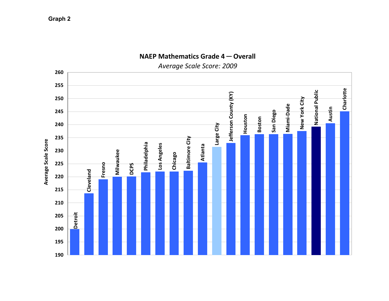

#### **Graph 2**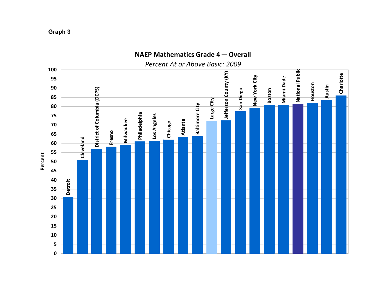

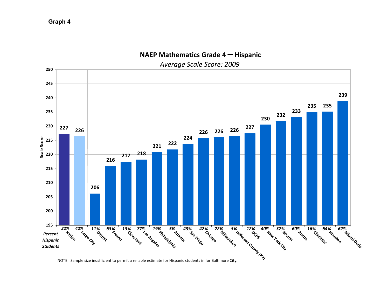

**NAEP Mathematics Grade 4 ─ Hispanic**

**Graph 4** 

NOTE: Sample size inusfficient to permit <sup>a</sup> reliable estimate for Hispanic students in for Baltimore City.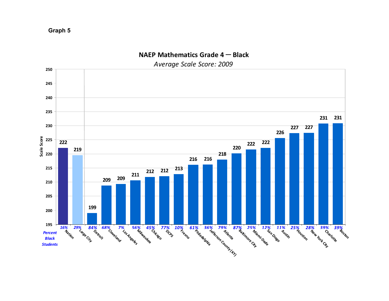

% 29% 84% 68% 7% 39% 10% 10% 61% 36% 79% 12% 12% 12% 12% 25% 14% 14% 12% 11% 25% 28% 39% 39%.<br>Represent to the contract of the contract of the contract of the contract of the contract of the contract of the contract of the

**199**

*29% 84%*

**195**

*Percent Black Students*

*16%*

**200**

**205**

**210**

**209**

**<sup>209</sup>**

**68% 7% 56% 45%**<br>bit delegate to Angeles integrate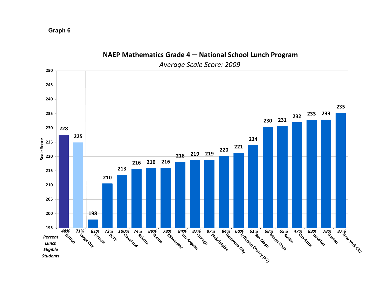

### **NAEP Mathematics Grade 4 ─ National School Lunch Program**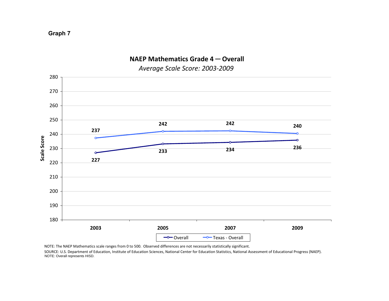

*Average Scale Score: 2003‐2009*

NOTE: The NAEP Mathematics scale ranges from 0 to 500. Observed differences are not necessarily statistically significant.

SOURCE: U.S. Department of Education, Institute of Education Sciences, National Center for Education Statistics, National Assessment of Educational Progress (NAEP). NOTE: Overall represents HISD.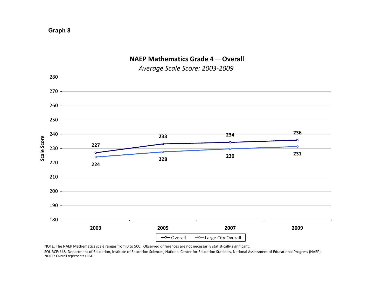

*Average Scale Score: 2003‐2009*

NOTE: The NAEP Mathematics scale ranges from 0 to 500. Observed differences are not necessarily statistically significant.

SOURCE: U.S. Department of Education, Institute of Education Sciences, National Center for Education Statistics, National Assessment of Educational Progress (NAEP). NOTE: Overall represents HISD.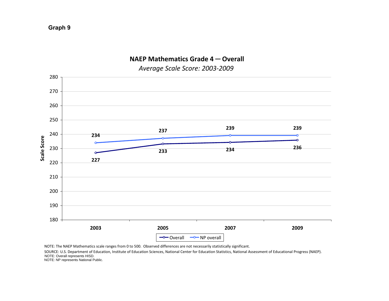



*Average Scale Score: 2003‐2009*

NOTE: The NAEP Mathematics scale ranges from 0 to 500. Observed differences are not necessarily statistically significant.

SOURCE: U.S. Department of Education, Institute of Education Sciences, National Center for Education Statistics, National Assessment of Educational Progress (NAEP). NOTE: Overall represents HISD.

NOTE: NP represents National Public.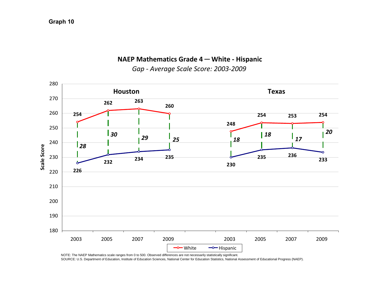#### **NAEP Mathematics Grade 4 ─ White ‐ Hispanic**



*Gap ‐ Average Scale Score: 2003‐2009*

NOTE: The NAEP Mathematics scale ranges from 0 to 500. Observed differences are not necessarily statistically significant.

SOURCE: U.S. Department of Education, Institute of Education Sciences, National Center for Education Statistics, National Assessment of Educational Progress (NAEP).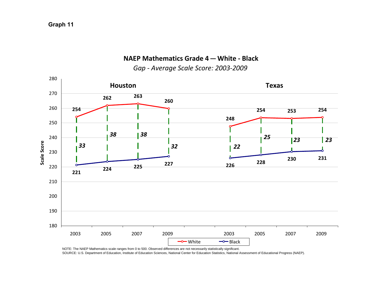#### **NAEP Mathematics Grade 4 ─ White ‐ Black**



*Gap ‐ Average Scale Score: 2003‐2009*

NOTE: The NAEP Mathematics scale ranges from 0 to 500. Observed differences are not necessarily statistically significant.

SOURCE: U.S. Department of Education, Institute of Education Sciences, National Center for Education Statistics, National Assessment of Educational Progress (NAEP).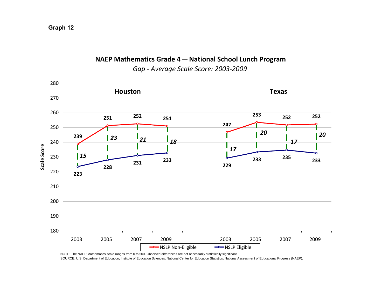**Scale Score**

#### 280**Houston Texas** 270260**253 <sup>252</sup> <sup>251</sup> 252 252251247**250*20 20* **239** *23 21 1817*240 Scale Score *1715* **<sup>235</sup> <sup>233</sup>**230 **233 <sup>233</sup> <sup>229</sup>231**229 **228** 220 **223** 210 200 190 180 20032005 2007 2009 2003 2005 2007 2009

**NAEP Mathematics Grade 4 ─ National School Lunch Program** *Gap ‐ Average Scale Score: 2003‐2009*

NOTE: The NAEP Mathematics scale ranges from 0 to 500. Observed differences are not necessarily statistically significant.

SOURCE: U.S. Department of Education, Institute of Education Sciences, National Center for Education Statistics, National Assessment of Educational Progress (NAEP).

**-O**NSLP Eligible

-O-NSLP Non-Eligible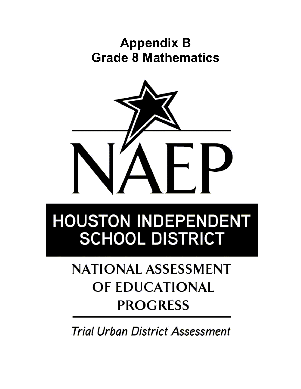### **Appendix B Grade 8 Mathematics**



# **HOUSTON INDEPENDENT SCHOOL DISTRICT**

## **NATIONAL ASSESSMENT** OF EDUCATIONAL **PROGRESS**

**Trial Urban District Assessment**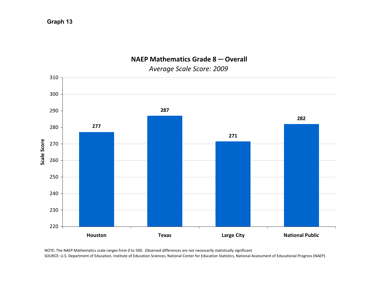

NOTE: The NAEP Mathematics scale ranges from 0 to 500. Observed differences are not necessarily statistically significant. SOURCE: U.S. Department of Education, Institute of Education Sciences, National Center for Education Statistics, National Assessment of Educational Progress (NAEP).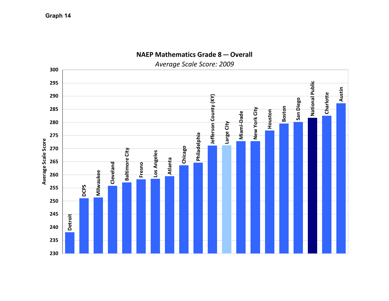

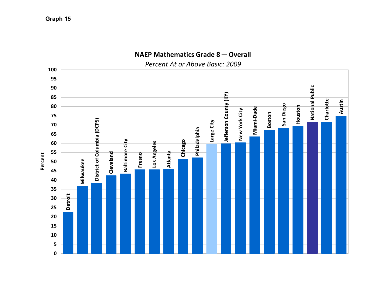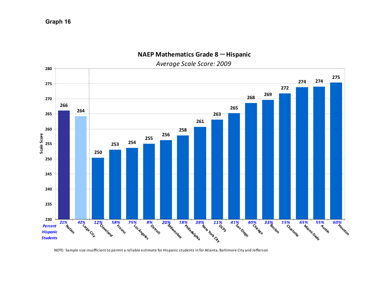

**NAEP Mathematics Grade 8 ─ Hispanic**

NOTE: Sample size inusfficient to permit <sup>a</sup> reliable estimate for Hispanic students in for Atlanta, Baltimore City and Jefferson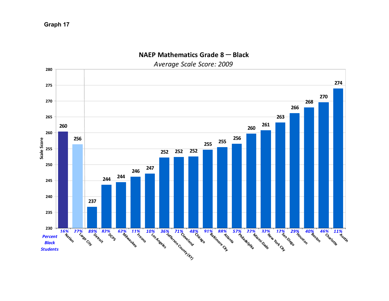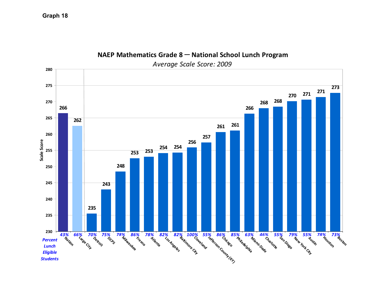

**NAEP Mathematics Grade 8 ─ National School Lunch Program**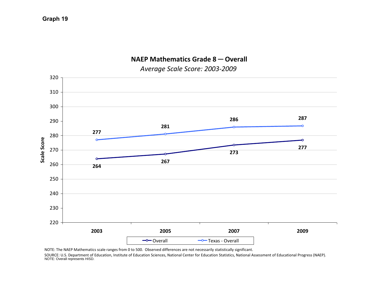

*Average Scale Score: 2003‐2009*

NOTE: The NAEP Mathematics scale ranges from 0 to 500. Observed differences are not necessarily statistically significant.

SOURCE: U.S. Department of Education, Institute of Education Sciences, National Center for Education Statistics, National Assessment of Educational Progress (NAEP). NOTE: Overall represents HISD.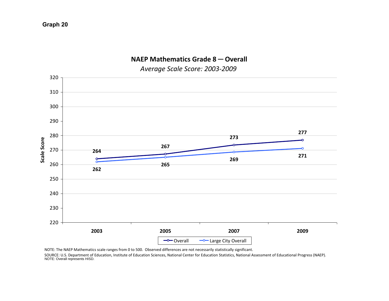

*Average Scale Score: 2003‐2009*

NOTE: The NAEP Mathematics scale ranges from 0 to 500. Observed differences are not necessarily statistically significant.

SOURCE: U.S. Department of Education, Institute of Education Sciences, National Center for Education Statistics, National Assessment of Educational Progress (NAEP). NOTE: Overall represents HISD.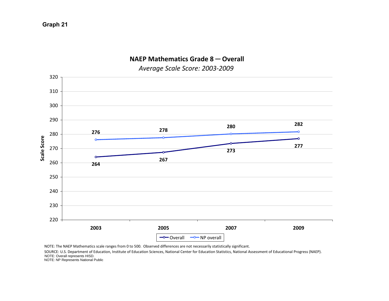

*Average Scale Score: 2003‐2009*

NOTE: The NAEP Mathematics scale ranges from 0 to 500. Observed differences are not necessarily statistically significant.

SOURCE: U.S. Department of Education, Institute of Education Sciences, National Center for Education Statistics, National Assessment of Educational Progress (NAEP). NOTE: Overall represents HISD.

NOTE: NP Represents National Public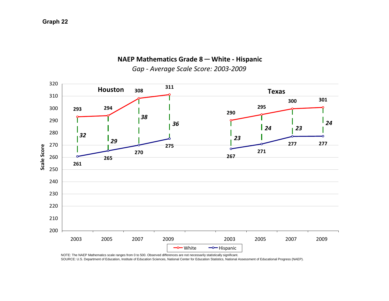#### **NAEP Mathematics Grade 8 ─ White ‐ Hispanic**



*Gap ‐ Average Scale Score: 2003‐2009*

NOTE: The NAEP Mathematics scale ranges from 0 to 500. Observed differences are not necessarily statistically significant.

SOURCE: U.S. Department of Education, Institute of Education Sciences, National Center for Education Statistics, National Assessment of Educational Progress (NAEP).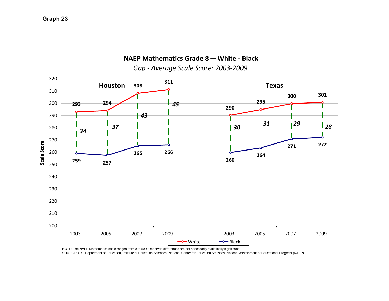

#### **NAEP Mathematics Grade 8 ─ White ‐ Black**

*Gap ‐ Average Scale Score: 2003‐2009*

NOTE: The NAEP Mathematics scale ranges from 0 to 500. Observed differences are not necessarily statistically significant. SOURCE: U.S. Department of Education, Institute of Education Sciences, National Center for Education Statistics, National Assessment of Educational Progress (NAEP).